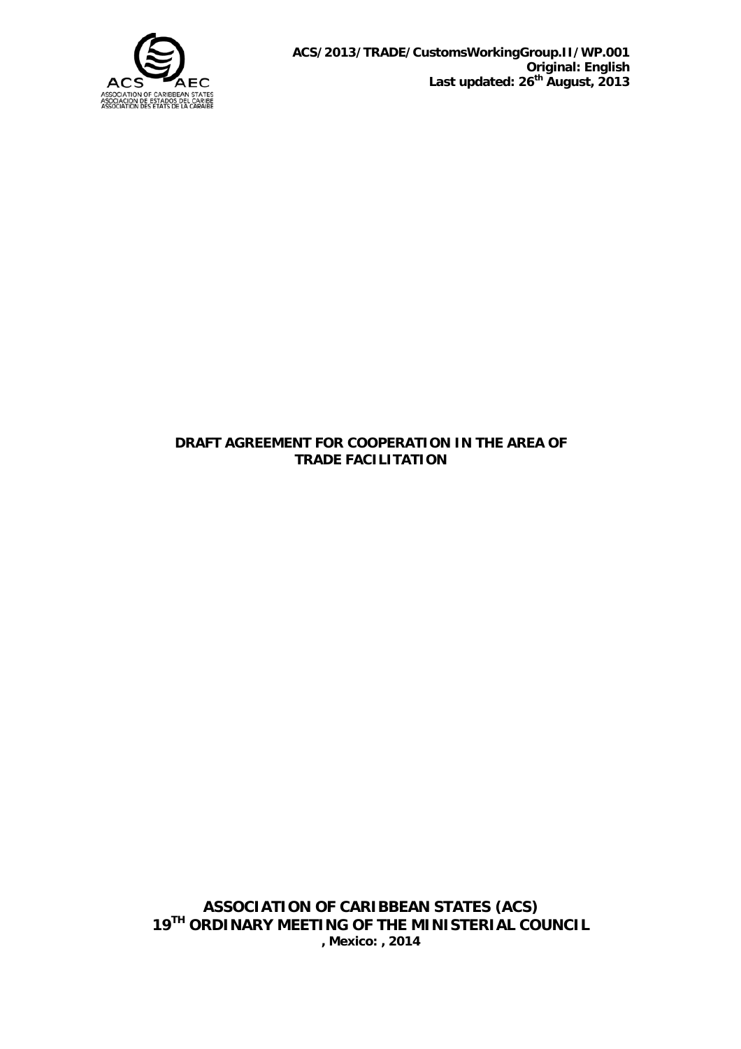

### **DRAFT AGREEMENT FOR COOPERATION IN THE AREA OF TRADE FACILITATION**

**ASSOCIATION OF CARIBBEAN STATES (ACS) 19TH ORDINARY MEETING OF THE MINISTERIAL COUNCIL , Mexico: , 2014**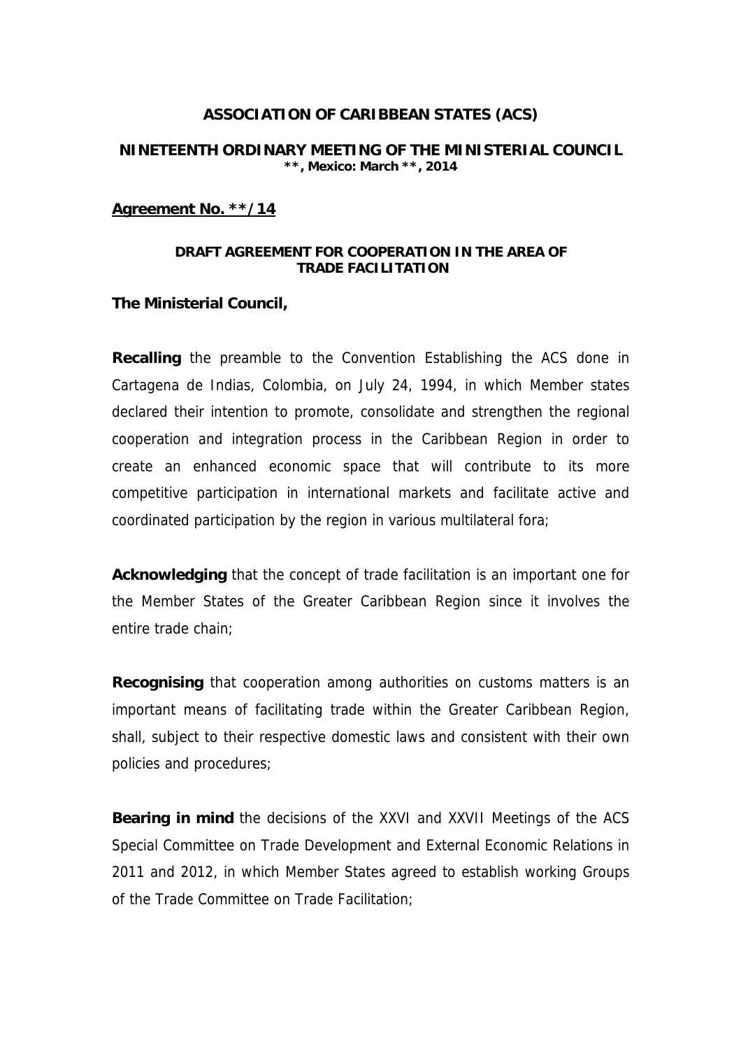## **ASSOCIATION OF CARIBBEAN STATES (ACS)**

#### **NINETEENTH ORDINARY MEETING OF THE MINISTERIAL COUNCIL \*\*, Mexico: March \*\*, 2014**

#### **Agreement No. \*\*/14**

#### **DRAFT AGREEMENT FOR COOPERATION IN THE AREA OF TRADE FACILITATION**

#### **The Ministerial Council,**

**Recalling** the preamble to the Convention Establishing the ACS done in Cartagena de Indias, Colombia, on July 24, 1994, in which Member states declared their intention to promote, consolidate and strengthen the regional cooperation and integration process in the Caribbean Region in order to create an enhanced economic space that will contribute to its more competitive participation in international markets and facilitate active and coordinated participation by the region in various multilateral fora;

**Acknowledging** that the concept of trade facilitation is an important one for the Member States of the Greater Caribbean Region since it involves the entire trade chain;

**Recognising** that cooperation among authorities on customs matters is an important means of facilitating trade within the Greater Caribbean Region, shall, subject to their respective domestic laws and consistent with their own policies and procedures;

**Bearing in mind** the decisions of the XXVI and XXVII Meetings of the ACS Special Committee on Trade Development and External Economic Relations in 2011 and 2012, in which Member States agreed to establish working Groups of the Trade Committee on Trade Facilitation;